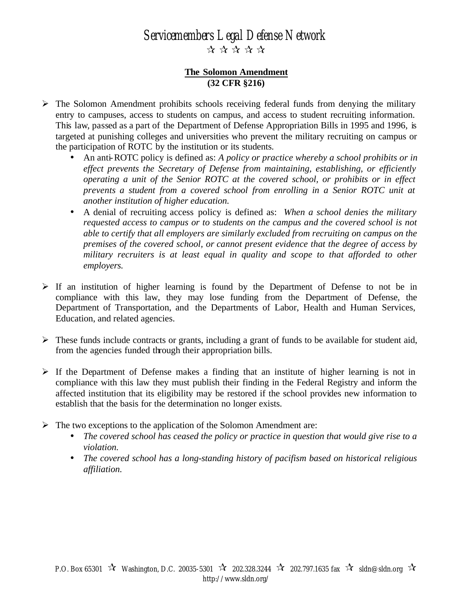## *Servicemembers Legal Defense Network*  $\forall x \land x \land y$

## **The Solomon Amendment (32 CFR §216)**

- $\triangleright$  The Solomon Amendment prohibits schools receiving federal funds from denying the military entry to campuses, access to students on campus, and access to student recruiting information. This law, passed as a part of the Department of Defense Appropriation Bills in 1995 and 1996, is targeted at punishing colleges and universities who prevent the military recruiting on campus or the participation of ROTC by the institution or its students.
	- An anti-ROTC policy is defined as: *A policy or practice whereby a school prohibits or in effect prevents the Secretary of Defense from maintaining, establishing, or efficiently operating a unit of the Senior ROTC at the covered school, or prohibits or in effect prevents a student from a covered school from enrolling in a Senior ROTC unit at another institution of higher education.*
	- A denial of recruiting access policy is defined as: *When a school denies the military requested access to campus or to students on the campus and the covered school is not able to certify that all employers are similarly excluded from recruiting on campus on the premises of the covered school, or cannot present evidence that the degree of access by military recruiters is at least equal in quality and scope to that afforded to other employers.*
- $\triangleright$  If an institution of higher learning is found by the Department of Defense to not be in compliance with this law, they may lose funding from the Department of Defense, the Department of Transportation, and the Departments of Labor, Health and Human Services, Education, and related agencies.
- $\triangleright$  These funds include contracts or grants, including a grant of funds to be available for student aid, from the agencies funded through their appropriation bills.
- $\triangleright$  If the Department of Defense makes a finding that an institute of higher learning is not in compliance with this law they must publish their finding in the Federal Registry and inform the affected institution that its eligibility may be restored if the school provides new information to establish that the basis for the determination no longer exists.
- $\triangleright$  The two exceptions to the application of the Solomon Amendment are:
	- *The covered school has ceased the policy or practice in question that would give rise to a violation.*
	- *The covered school has a long-standing history of pacifism based on historical religious affiliation.*